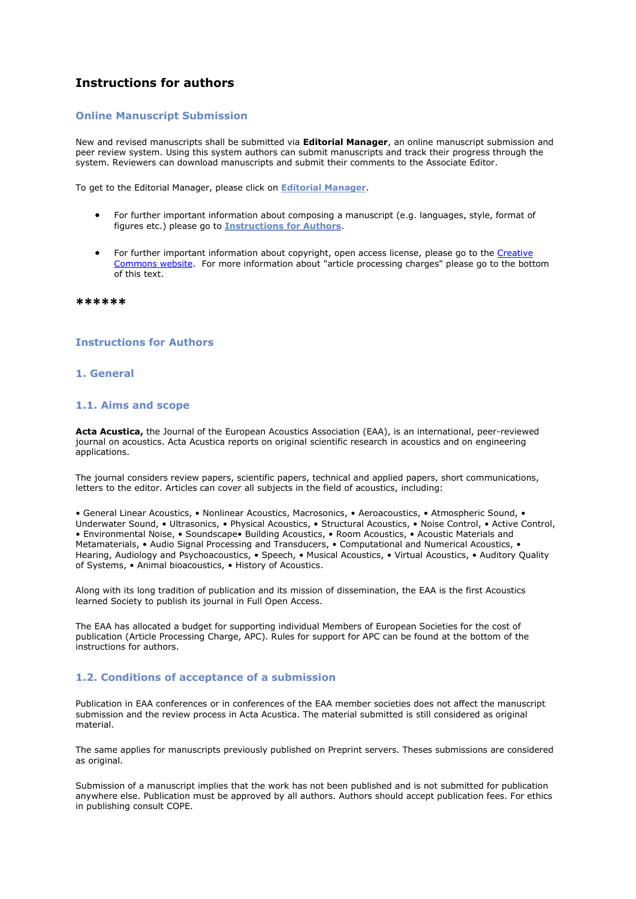# **Instructions for authors**

### **Online Manuscript Submission**

New and revised manuscripts shall be submitted via **Editorial Manager**, an online manuscript submission and peer review system. Using this system authors can submit manuscripts and track their progress through the system. Reviewers can download manuscripts and submit their comments to the Associate Editor.

To get to the Editorial Manager, please click on **[Editorial Manager](http://www.editorialmanager.com/aacus)**.

- For further important information about composing a manuscript (e.g. languages, style, format of figures etc.) please go to **[Instructions for Authors](https://publications.edpsciences.org/doc_journal/instructions/aacus_instructions.pdf)**.
- For further important information about copyright, open access license, please go to the [Creative](https://creativecommons.org/licenses/by/4.0/)  [Commons website.](https://creativecommons.org/licenses/by/4.0/) For more information about "article processing charges" please go to the bottom of this text.

**\*\*\*\*\*\***

### **Instructions for Authors**

### **1. General**

### **1.1. Aims and scope**

**Acta Acustica,** the Journal of the European Acoustics Association (EAA), is an international, peer-reviewed journal on acoustics. Acta Acustica reports on original scientific research in acoustics and on engineering applications.

The journal considers review papers, scientific papers, technical and applied papers, short communications, letters to the editor. Articles can cover all subjects in the field of acoustics, including:

• General Linear Acoustics, • Nonlinear Acoustics, Macrosonics, • Aeroacoustics, • Atmospheric Sound, • Underwater Sound, • Ultrasonics, • Physical Acoustics, • Structural Acoustics, • Noise Control, • Active Control, • Environmental Noise, • Soundscape• Building Acoustics, • Room Acoustics, • Acoustic Materials and Metamaterials, • Audio Signal Processing and Transducers, • Computational and Numerical Acoustics, • Hearing, Audiology and Psychoacoustics, • Speech, • Musical Acoustics, • Virtual Acoustics, • Auditory Quality of Systems, • Animal bioacoustics, • History of Acoustics.

Along with its long tradition of publication and its mission of dissemination, the EAA is the first Acoustics learned Society to publish its journal in Full Open Access.

The EAA has allocated a budget for supporting individual Members of European Societies for the cost of publication (Article Processing Charge, APC). Rules for support for APC can be found at the bottom of the instructions for authors.

# **1.2. Conditions of acceptance of a submission**

Publication in EAA conferences or in conferences of the EAA member societies does not affect the manuscript submission and the review process in Acta Acustica. The material submitted is still considered as original material.

The same applies for manuscripts previously published on Preprint servers. Theses submissions are considered as original.

Submission of a manuscript implies that the work has not been published and is not submitted for publication anywhere else. Publication must be approved by all authors. Authors should accept publication fees. For ethics in publishing consult COPE.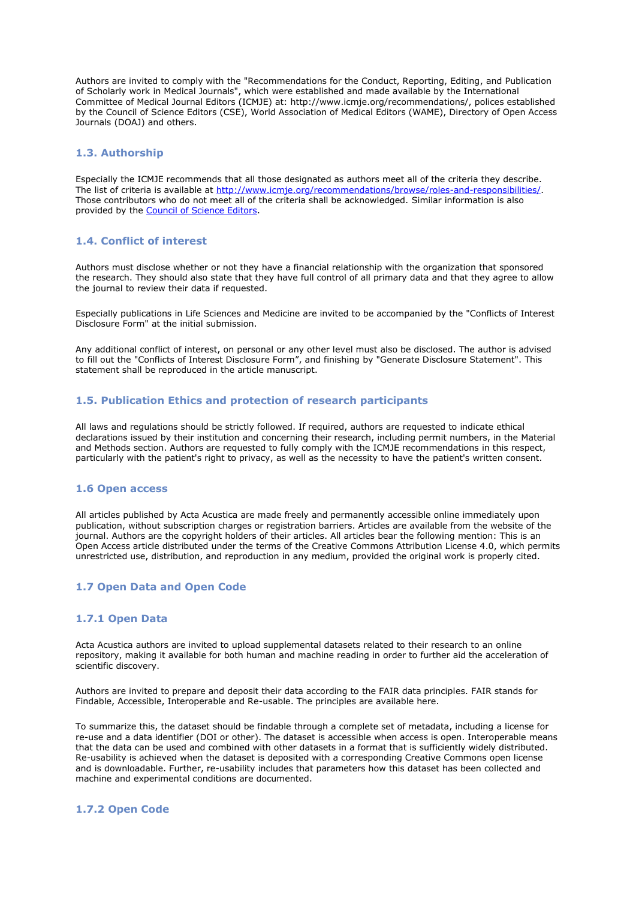Authors are invited to comply with the "Recommendations for the Conduct, Reporting, Editing, and Publication of Scholarly work in Medical Journals", which were established and made available by the International Committee of Medical Journal Editors (ICMJE) at: http://www.icmje.org/recommendations/, polices established by the Council of Science Editors (CSE), World Association of Medical Editors (WAME), Directory of Open Access Journals (DOAJ) and others.

### **1.3. Authorship**

Especially the ICMJE recommends that all those designated as authors meet all of the criteria they describe. The list of criteria is available at [http://www.icmje.org/recommendations/browse/roles-and-responsibilities/.](http://www.icmje.org/recommendations/browse/roles-and-responsibilities/) Those contributors who do not meet all of the criteria shall be acknowledged. Similar information is also provided by the [Council of Science Editors.](https://www.councilscienceeditors.org/resource-library/editorial-policies/white-paper-on-publication-ethics/2-2-authorship-and-authorship-responsibilities/)

# **1.4. Conflict of interest**

Authors must disclose whether or not they have a financial relationship with the organization that sponsored the research. They should also state that they have full control of all primary data and that they agree to allow the journal to review their data if requested.

Especially publications in Life Sciences and Medicine are invited to be accompanied by the "Conflicts of Interest Disclosure Form" at the initial submission.

Any additional conflict of interest, on personal or any other level must also be disclosed. The author is advised to fill out the "Conflicts of Interest Disclosure Form", and finishing by "Generate Disclosure Statement". This statement shall be reproduced in the article manuscript.

### **1.5. Publication Ethics and protection of research participants**

All laws and regulations should be strictly followed. If required, authors are requested to indicate ethical declarations issued by their institution and concerning their research, including permit numbers, in the Material and Methods section. Authors are requested to fully comply with the ICMJE recommendations in this respect, particularly with the patient's right to privacy, as well as the necessity to have the patient's written consent.

### **1.6 Open access**

All articles published by Acta Acustica are made freely and permanently accessible online immediately upon publication, without subscription charges or registration barriers. Articles are available from the website of the journal. Authors are the copyright holders of their articles. All articles bear the following mention: This is an Open Access article distributed under the terms of the Creative Commons Attribution License 4.0, which permits unrestricted use, distribution, and reproduction in any medium, provided the original work is properly cited.

# **1.7 Open Data and Open Code**

### **1.7.1 Open Data**

Acta Acustica authors are invited to upload supplemental datasets related to their research to an online repository, making it available for both human and machine reading in order to further aid the acceleration of scientific discovery.

Authors are invited to prepare and deposit their data according to the FAIR data principles. FAIR stands for Findable, Accessible, Interoperable and Re-usable. The principles are available here.

To summarize this, the dataset should be findable through a complete set of metadata, including a license for re-use and a data identifier (DOI or other). The dataset is accessible when access is open. Interoperable means that the data can be used and combined with other datasets in a format that is sufficiently widely distributed. Re-usability is achieved when the dataset is deposited with a corresponding Creative Commons open license and is downloadable. Further, re-usability includes that parameters how this dataset has been collected and machine and experimental conditions are documented.

### **1.7.2 Open Code**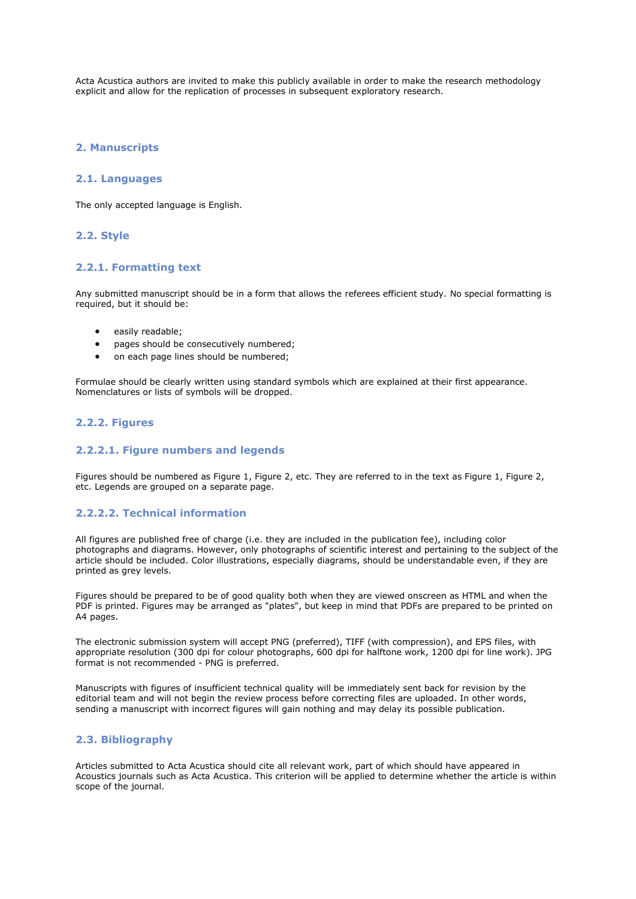Acta Acustica authors are invited to make this publicly available in order to make the research methodology explicit and allow for the replication of processes in subsequent exploratory research.

### **2. Manuscripts**

### **2.1. Languages**

The only accepted language is English.

# **2.2. Style**

### **2.2.1. Formatting text**

Any submitted manuscript should be in a form that allows the referees efficient study. No special formatting is required, but it should be:

- easily readable;
- pages should be consecutively numbered;
- on each page lines should be numbered;

Formulae should be clearly written using standard symbols which are explained at their first appearance. Nomenclatures or lists of symbols will be dropped.

### **2.2.2. Figures**

# **2.2.2.1. Figure numbers and legends**

Figures should be numbered as Figure 1, Figure 2, etc. They are referred to in the text as Figure 1, Figure 2, etc. Legends are grouped on a separate page.

# **2.2.2.2. Technical information**

All figures are published free of charge (i.e. they are included in the publication fee), including color photographs and diagrams. However, only photographs of scientific interest and pertaining to the subject of the article should be included. Color illustrations, especially diagrams, should be understandable even, if they are printed as grey levels.

Figures should be prepared to be of good quality both when they are viewed onscreen as HTML and when the PDF is printed. Figures may be arranged as "plates", but keep in mind that PDFs are prepared to be printed on A4 pages.

The electronic submission system will accept PNG (preferred), TIFF (with compression), and EPS files, with appropriate resolution (300 dpi for colour photographs, 600 dpi for halftone work, 1200 dpi for line work). JPG format is not recommended - PNG is preferred.

Manuscripts with figures of insufficient technical quality will be immediately sent back for revision by the editorial team and will not begin the review process before correcting files are uploaded. In other words, sending a manuscript with incorrect figures will gain nothing and may delay its possible publication.

### **2.3. Bibliography**

Articles submitted to Acta Acustica should cite all relevant work, part of which should have appeared in Acoustics journals such as Acta Acustica. This criterion will be applied to determine whether the article is within scope of the journal.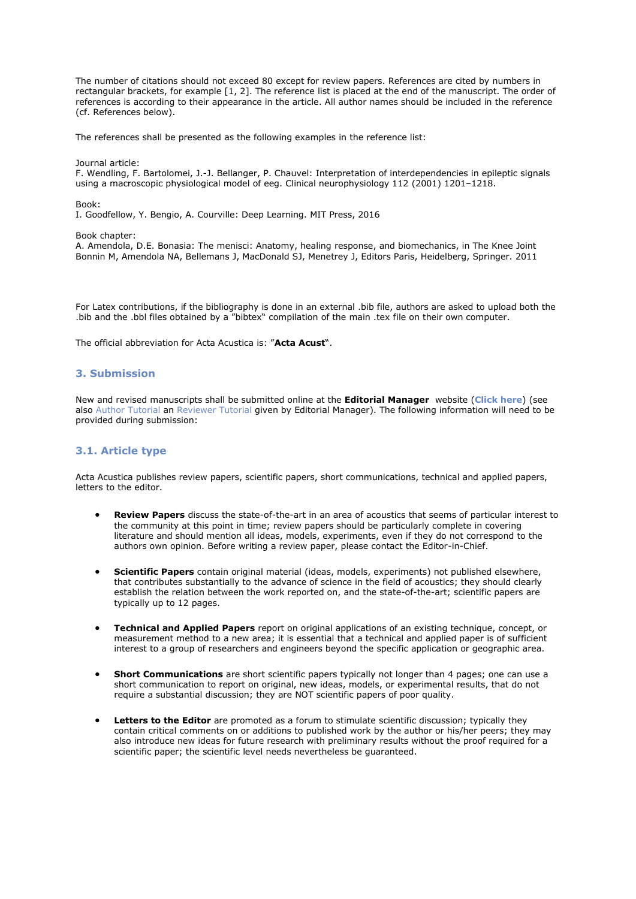The number of citations should not exceed 80 except for review papers. References are cited by numbers in rectangular brackets, for example [1, 2]. The reference list is placed at the end of the manuscript. The order of references is according to their appearance in the article. All author names should be included in the reference (cf. References below).

The references shall be presented as the following examples in the reference list:

#### Journal article:

F. Wendling, F. Bartolomei, J.-J. Bellanger, P. Chauvel: Interpretation of interdependencies in epileptic signals using a macroscopic physiological model of eeg. Clinical neurophysiology 112 (2001) 1201–1218.

### Book:

I. Goodfellow, Y. Bengio, A. Courville: Deep Learning. MIT Press, 2016

Book chapter:

A. Amendola, D.E. Bonasia: The menisci: Anatomy, healing response, and biomechanics, in The Knee Joint Bonnin M, Amendola NA, Bellemans J, MacDonald SJ, Menetrey J, Editors Paris, Heidelberg, Springer. 2011

For Latex contributions, if the bibliography is done in an external .bib file, authors are asked to upload both the .bib and the .bbl files obtained by a "bibtex" compilation of the main .tex file on their own computer.

The official abbreviation for Acta Acustica is: "**Acta Acust**".

# **3. Submission**

New and revised manuscripts shall be submitted online at the **Editorial Manager** website (**[Click here](http://www.editorialmanager.com/aacus)**) (see also [Author Tutorial](http://www.ariessys.com/wp-content/uploads/EM-Author-English.pdf) an [Reviewer Tutorial](http://www.ariessys.com/wp-content/uploads/EM-Reviewer-English.pdf) given by Editorial Manager). The following information will need to be provided during submission:

### **3.1. Article type**

Acta Acustica publishes review papers, scientific papers, short communications, technical and applied papers, letters to the editor.

- **Review Papers** discuss the state-of-the-art in an area of acoustics that seems of particular interest to the community at this point in time; review papers should be particularly complete in covering literature and should mention all ideas, models, experiments, even if they do not correspond to the authors own opinion. Before writing a review paper, please contact the Editor-in-Chief.
- **Scientific Papers** contain original material (ideas, models, experiments) not published elsewhere, that contributes substantially to the advance of science in the field of acoustics; they should clearly establish the relation between the work reported on, and the state-of-the-art; scientific papers are typically up to 12 pages.
- **Technical and Applied Papers** report on original applications of an existing technique, concept, or measurement method to a new area; it is essential that a technical and applied paper is of sufficient interest to a group of researchers and engineers beyond the specific application or geographic area.
- **Short Communications** are short scientific papers typically not longer than 4 pages; one can use a short communication to report on original, new ideas, models, or experimental results, that do not require a substantial discussion; they are NOT scientific papers of poor quality.
- **Letters to the Editor** are promoted as a forum to stimulate scientific discussion; typically they contain critical comments on or additions to published work by the author or his/her peers; they may also introduce new ideas for future research with preliminary results without the proof required for a scientific paper; the scientific level needs nevertheless be guaranteed.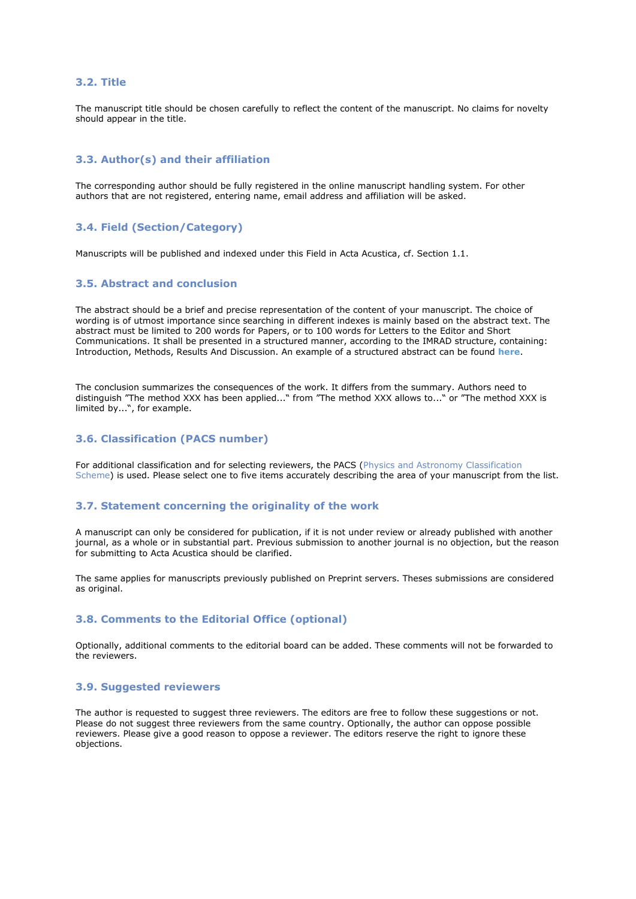### **3.2. Title**

The manuscript title should be chosen carefully to reflect the content of the manuscript. No claims for novelty should appear in the title.

# **3.3. Author(s) and their affiliation**

The corresponding author should be fully registered in the online manuscript handling system. For other authors that are not registered, entering name, email address and affiliation will be asked.

### **3.4. Field (Section/Category)**

Manuscripts will be published and indexed under this Field in Acta Acustica, cf. Section 1.1.

### **3.5. Abstract and conclusion**

The abstract should be a brief and precise representation of the content of your manuscript. The choice of wording is of utmost importance since searching in different indexes is mainly based on the abstract text. The abstract must be limited to 200 words for Papers, or to 100 words for Letters to the Editor and Short Communications. It shall be presented in a structured manner, according to the IMRAD structure, containing: Introduction, Methods, Results And Discussion. An example of a structured abstract can be found **[here](https://www.4open-sciences.org/articles/fopen/abs/2018/01/fopen180003/fopen180003.html)**.

The conclusion summarizes the consequences of the work. It differs from the summary. Authors need to distinguish "The method XXX has been applied..." from "The method XXX allows to..." or "The method XXX is limited by...", for example.

# **3.6. Classification (PACS number)**

For additional classification and for selecting reviewers, the PACS [\(Physics and Astronomy Classification](https://journals.aps.org/PACS)  [Scheme\)](https://journals.aps.org/PACS) is used. Please select one to five items accurately describing the area of your manuscript from the list.

### **3.7. Statement concerning the originality of the work**

A manuscript can only be considered for publication, if it is not under review or already published with another journal, as a whole or in substantial part. Previous submission to another journal is no objection, but the reason for submitting to Acta Acustica should be clarified.

The same applies for manuscripts previously published on Preprint servers. Theses submissions are considered as original.

### **3.8. Comments to the Editorial Office (optional)**

Optionally, additional comments to the editorial board can be added. These comments will not be forwarded to the reviewers.

### **3.9. Suggested reviewers**

The author is requested to suggest three reviewers. The editors are free to follow these suggestions or not. Please do not suggest three reviewers from the same country. Optionally, the author can oppose possible reviewers. Please give a good reason to oppose a reviewer. The editors reserve the right to ignore these objections.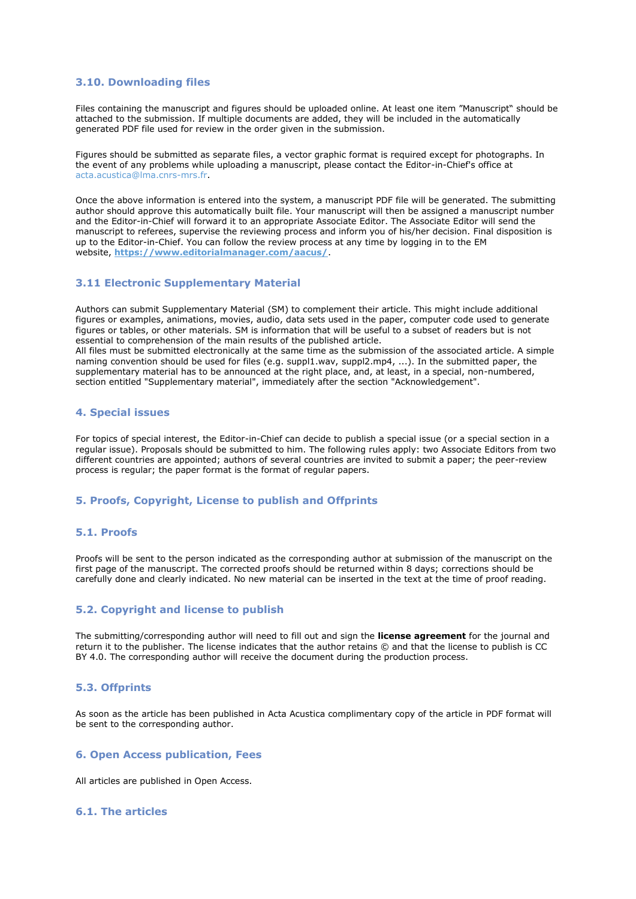# **3.10. Downloading files**

Files containing the manuscript and figures should be uploaded online. At least one item "Manuscript" should be attached to the submission. If multiple documents are added, they will be included in the automatically generated PDF file used for review in the order given in the submission.

Figures should be submitted as separate files, a vector graphic format is required except for photographs. In the event of any problems while uploading a manuscript, please contact the Editor-in-Chief's office at [acta.acustica@lma.cnrs-mrs.fr.](mailto:acta.acustica@lma.cnrs-mrs.fr)

Once the above information is entered into the system, a manuscript PDF file will be generated. The submitting author should approve this automatically built file. Your manuscript will then be assigned a manuscript number and the Editor-in-Chief will forward it to an appropriate Associate Editor. The Associate Editor will send the manuscript to referees, supervise the reviewing process and inform you of his/her decision. Final disposition is up to the Editor-in-Chief. You can follow the review process at any time by logging in to the EM website, **<https://www.editorialmanager.com/aacus/>**.

### **3.11 Electronic Supplementary Material**

Authors can submit Supplementary Material (SM) to complement their article. This might include additional figures or examples, animations, movies, audio, data sets used in the paper, computer code used to generate figures or tables, or other materials. SM is information that will be useful to a subset of readers but is not essential to comprehension of the main results of the published article.

All files must be submitted electronically at the same time as the submission of the associated article. A simple naming convention should be used for files (e.g. suppl1.wav, suppl2.mp4, ...). In the submitted paper, the supplementary material has to be announced at the right place, and, at least, in a special, non-numbered, section entitled "Supplementary material", immediately after the section "Acknowledgement".

### **4. Special issues**

For topics of special interest, the Editor-in-Chief can decide to publish a special issue (or a special section in a regular issue). Proposals should be submitted to him. The following rules apply: two Associate Editors from two different countries are appointed; authors of several countries are invited to submit a paper; the peer-review process is regular; the paper format is the format of regular papers.

# **5. Proofs, Copyright, License to publish and Offprints**

### **5.1. Proofs**

Proofs will be sent to the person indicated as the corresponding author at submission of the manuscript on the first page of the manuscript. The corrected proofs should be returned within 8 days; corrections should be carefully done and clearly indicated. No new material can be inserted in the text at the time of proof reading.

### **5.2. Copyright and license to publish**

The submitting/corresponding author will need to fill out and sign the **license agreement** for the journal and return it to the publisher. The license indicates that the author retains © and that the license to publish is CC BY 4.0. The corresponding author will receive the document during the production process.

### **5.3. Offprints**

As soon as the article has been published in Acta Acustica complimentary copy of the article in PDF format will be sent to the corresponding author.

### **6. Open Access publication, Fees**

All articles are published in Open Access.

### **6.1. The articles**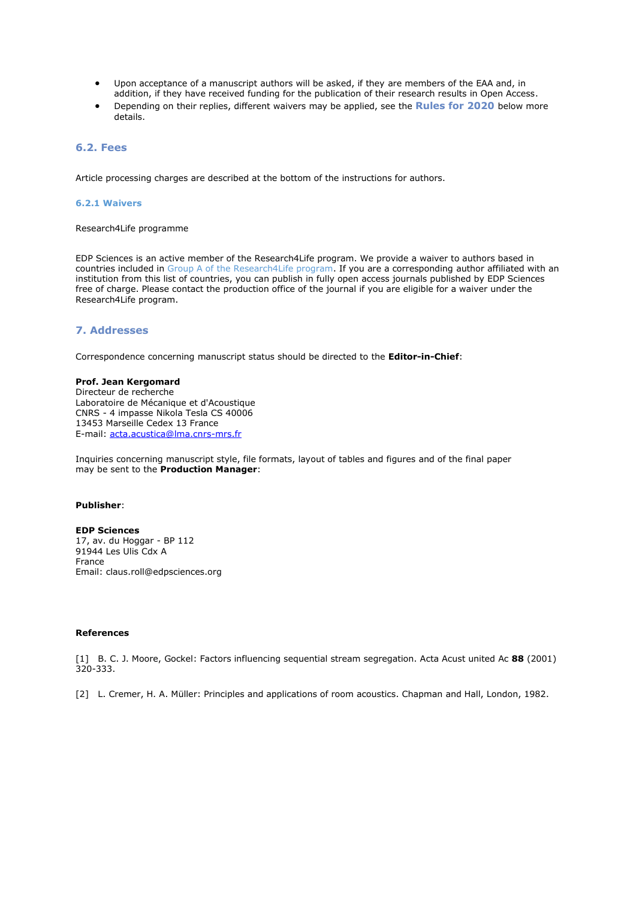- Upon acceptance of a manuscript authors will be asked, if they are members of the EAA and, in addition, if they have received funding for the publication of their research results in Open Access.
- Depending on their replies, different waivers may be applied, see the **Rules for 2020** below more details.

### **6.2. Fees**

Article processing charges are described at the bottom of the instructions for authors.

### **6.2.1 Waivers**

Research4Life programme

EDP Sciences is an active member of the Research4Life program. We provide a waiver to authors based in countries included in [Group A of the Research4Life program.](https://www.research4life.org/access/eligibility/) If you are a corresponding author affiliated with an institution from this list of countries, you can publish in fully open access journals published by EDP Sciences free of charge. Please contact the production office of the journal if you are eligible for a waiver under the Research4Life program.

### **7. Addresses**

Correspondence concerning manuscript status should be directed to the **Editor-in-Chief**:

### **Prof. Jean Kergomard**

Directeur de recherche Laboratoire de Mécanique et d'Acoustique CNRS - 4 impasse Nikola Tesla CS 40006 13453 Marseille Cedex 13 France E-mail: [acta.acustica@lma.cnrs-mrs.fr](mailto:acta.acustica@lma.cnrs-mrs.fr)

Inquiries concerning manuscript style, file formats, layout of tables and figures and of the final paper may be sent to the **Production Manager**:

#### **Publisher**:

**EDP Sciences** 17, av. du Hoggar - BP 112 91944 Les Ulis Cdx A France Email: claus.roll@edpsciences.org

#### **References**

[1] B. C. J. Moore, Gockel: Factors influencing sequential stream segregation. Acta Acust united Ac **88** (2001) 320-333.

[2] L. Cremer, H. A. Müller: Principles and applications of room acoustics. Chapman and Hall, London, 1982.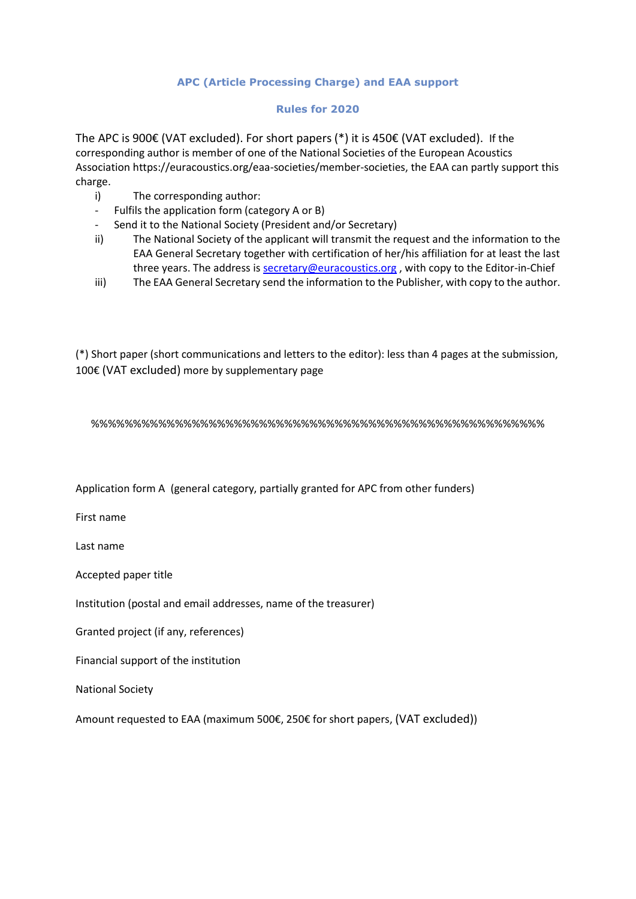# **APC (Article Processing Charge) and EAA support**

# **Rules for 2020**

The APC is 900€ (VAT excluded). For short papers (\*) it is 450€ (VAT excluded). If the corresponding author is member of one of the National Societies of the European Acoustics Association https://euracoustics.org/eaa-societies/member-societies, the EAA can partly support this charge.

- i) The corresponding author:
- Fulfils the application form (category A or B)
- Send it to the National Society (President and/or Secretary)
- ii) The National Society of the applicant will transmit the request and the information to the EAA General Secretary together with certification of her/his affiliation for at least the last three years. The address is [secretary@euracoustics.org](mailto:secretary@euracoustics.org) , with copy to the Editor-in-Chief
- iii) The EAA General Secretary send the information to the Publisher, with copy to the author.

(\*) Short paper (short communications and letters to the editor): less than 4 pages at the submission, 100€ (VAT excluded) more by supplementary page

%%%%%%%%%%%%%%%%%%%%%%%%%%%%%%%%%%%%%%%%%%%%%%%%%%%%%%

Application form A (general category, partially granted for APC from other funders)

First name

Last name

Accepted paper title

Institution (postal and email addresses, name of the treasurer)

Granted project (if any, references)

Financial support of the institution

National Society

Amount requested to EAA (maximum 500€, 250€ for short papers, (VAT excluded))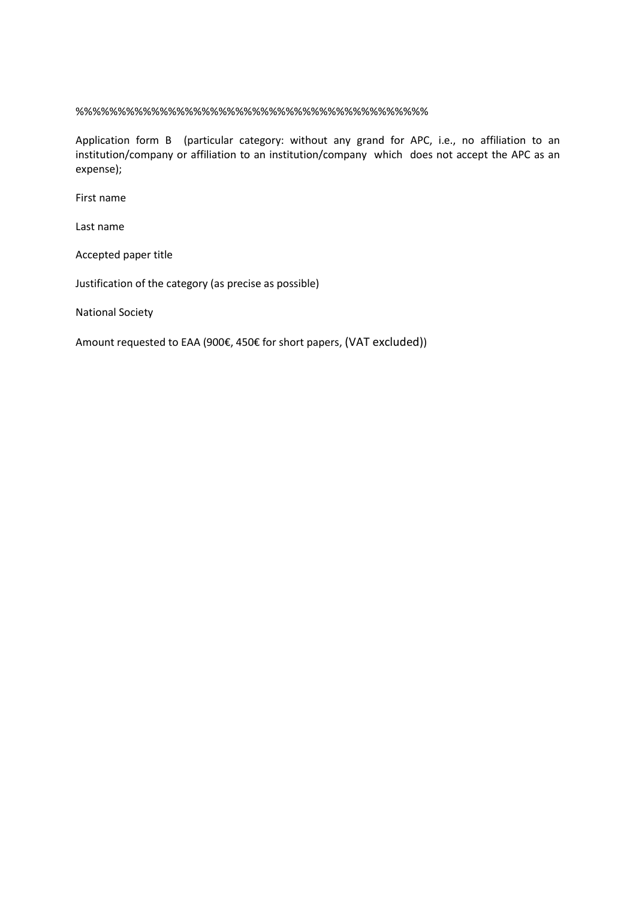%%%%%%%%%%%%%%%%%%%%%%%%%%%%%%%%%%%%%%%%%%

Application form B (particular category: without any grand for APC, i.e., no affiliation to an institution/company or affiliation to an institution/company which does not accept the APC as an expense);

First name

Last name

Accepted paper title

Justification of the category (as precise as possible)

National Society

Amount requested to EAA (900€, 450€ for short papers, (VAT excluded))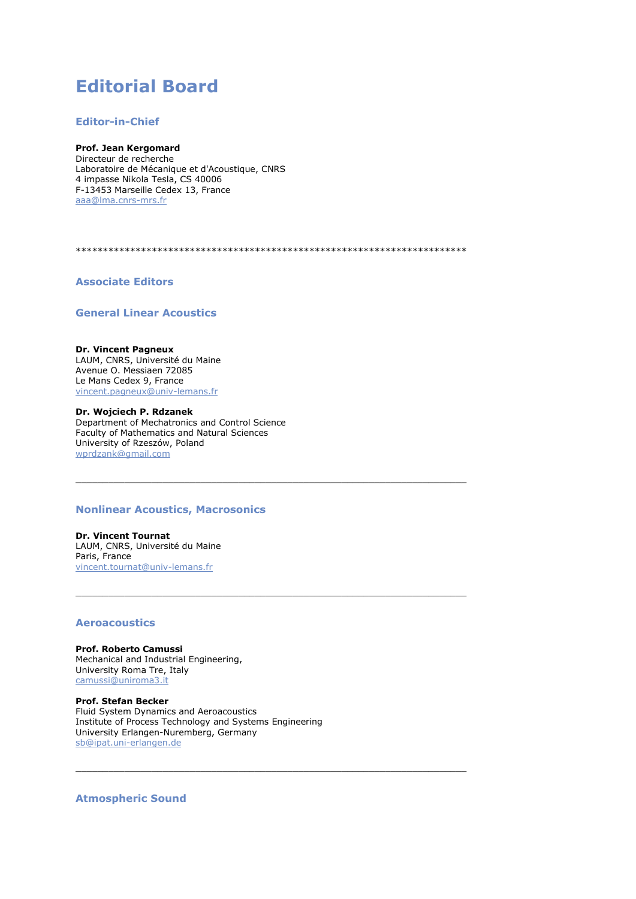# **Editorial Board**

## **Editor-in-Chief**

**Prof. Jean Kergomard** Directeur de recherche Laboratoire de Mécanique et d'Acoustique, CNRS 4 impasse Nikola Tesla, CS 40006 F-13453 Marseille Cedex 13, France [aaa@lma.cnrs-mrs.fr](javascript:linkTo_UnCryptMailto()

\*\*\*\*\*\*\*\*\*\*\*\*\*\*\*\*\*\*\*\*\*\*\*\*\*\*\*\*\*\*\*\*\*\*\*\*\*\*\*\*\*\*\*\*\*\*\*\*\*\*\*\*\*\*\*\*\*\*\*\*\*\*\*\*\*\*\*\*\*\*\*\*

 $\_$  ,  $\_$  ,  $\_$  ,  $\_$  ,  $\_$  ,  $\_$  ,  $\_$  ,  $\_$  ,  $\_$  ,  $\_$  ,  $\_$  ,  $\_$  ,  $\_$  ,  $\_$  ,  $\_$  ,  $\_$  ,  $\_$  ,  $\_$  ,  $\_$  ,  $\_$  ,  $\_$  ,  $\_$  ,  $\_$  ,  $\_$  ,  $\_$  ,  $\_$  ,  $\_$  ,  $\_$  ,  $\_$  ,  $\_$  ,  $\_$  ,  $\_$  ,  $\_$  ,  $\_$  ,  $\_$  ,  $\_$  ,  $\_$  ,

\_\_\_\_\_\_\_\_\_\_\_\_\_\_\_\_\_\_\_\_\_\_\_\_\_\_\_\_\_\_\_\_\_\_\_\_\_\_\_\_\_\_\_\_\_\_\_\_\_\_\_\_\_\_\_\_\_\_\_\_\_\_\_\_\_\_\_\_\_\_\_\_

 $\frac{1}{2}$  ,  $\frac{1}{2}$  ,  $\frac{1}{2}$  ,  $\frac{1}{2}$  ,  $\frac{1}{2}$  ,  $\frac{1}{2}$  ,  $\frac{1}{2}$  ,  $\frac{1}{2}$  ,  $\frac{1}{2}$  ,  $\frac{1}{2}$  ,  $\frac{1}{2}$  ,  $\frac{1}{2}$  ,  $\frac{1}{2}$  ,  $\frac{1}{2}$  ,  $\frac{1}{2}$  ,  $\frac{1}{2}$  ,  $\frac{1}{2}$  ,  $\frac{1}{2}$  ,  $\frac{1$ 

**Associate Editors**

**General Linear Acoustics**

### **Dr. Vincent Pagneux**

LAUM, CNRS, Université du Maine Avenue O. Messiaen 72085 Le Mans Cedex 9, France [vincent.pagneux@univ-lemans.fr](javascript:linkTo_UnCryptMailto()

**Dr. Wojciech P. Rdzanek** Department of Mechatronics and Control Science Faculty of Mathematics and Natural Sciences University of Rzeszów, Poland [wprdzank@gmail.com](javascript:linkTo_UnCryptMailto()

# **Nonlinear Acoustics, Macrosonics**

**Dr. Vincent Tournat** LAUM, CNRS, Université du Maine Paris, France [vincent.tournat@univ-lemans.fr](javascript:linkTo_UnCryptMailto()

### **Aeroacoustics**

**Prof. Roberto Camussi** Mechanical and Industrial Engineering, University Roma Tre, Italy [camussi@uniroma3.it](javascript:linkTo_UnCryptMailto()

**Prof. Stefan Becker** Fluid System Dynamics and Aeroacoustics Institute of Process Technology and Systems Engineering University Erlangen-Nuremberg, Germany [sb@ipat.uni-erlangen.de](javascript:linkTo_UnCryptMailto()

**Atmospheric Sound**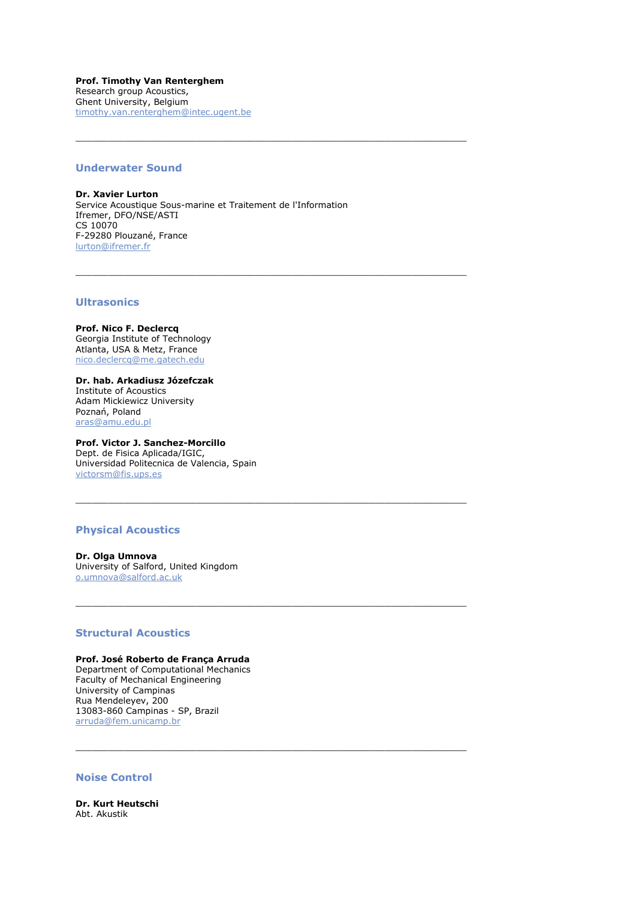**Prof. Timothy Van Renterghem** Research group Acoustics, Ghent University, Belgium [timothy.van.renterghem@intec.ugent.be](javascript:linkTo_UnCryptMailto()

### **Underwater Sound**

**Dr. Xavier Lurton** Service Acoustique Sous-marine et Traitement de l'Information Ifremer, DFO/NSE/ASTI CS 10070 F-29280 Plouzané, France [lurton@ifremer.fr](javascript:linkTo_UnCryptMailto()

 $\frac{1}{2}$  ,  $\frac{1}{2}$  ,  $\frac{1}{2}$  ,  $\frac{1}{2}$  ,  $\frac{1}{2}$  ,  $\frac{1}{2}$  ,  $\frac{1}{2}$  ,  $\frac{1}{2}$  ,  $\frac{1}{2}$  ,  $\frac{1}{2}$  ,  $\frac{1}{2}$  ,  $\frac{1}{2}$  ,  $\frac{1}{2}$  ,  $\frac{1}{2}$  ,  $\frac{1}{2}$  ,  $\frac{1}{2}$  ,  $\frac{1}{2}$  ,  $\frac{1}{2}$  ,  $\frac{1$ 

\_\_\_\_\_\_\_\_\_\_\_\_\_\_\_\_\_\_\_\_\_\_\_\_\_\_\_\_\_\_\_\_\_\_\_\_\_\_\_\_\_\_\_\_\_\_\_\_\_\_\_\_\_\_\_\_\_\_\_\_\_\_\_\_\_\_\_\_\_\_\_\_

 $\_$  ,  $\_$  ,  $\_$  ,  $\_$  ,  $\_$  ,  $\_$  ,  $\_$  ,  $\_$  ,  $\_$  ,  $\_$  ,  $\_$  ,  $\_$  ,  $\_$  ,  $\_$  ,  $\_$  ,  $\_$  ,  $\_$  ,  $\_$  ,  $\_$  ,  $\_$  ,  $\_$  ,  $\_$  ,  $\_$  ,  $\_$  ,  $\_$  ,  $\_$  ,  $\_$  ,  $\_$  ,  $\_$  ,  $\_$  ,  $\_$  ,  $\_$  ,  $\_$  ,  $\_$  ,  $\_$  ,  $\_$  ,  $\_$  ,

 $\frac{1}{2}$  ,  $\frac{1}{2}$  ,  $\frac{1}{2}$  ,  $\frac{1}{2}$  ,  $\frac{1}{2}$  ,  $\frac{1}{2}$  ,  $\frac{1}{2}$  ,  $\frac{1}{2}$  ,  $\frac{1}{2}$  ,  $\frac{1}{2}$  ,  $\frac{1}{2}$  ,  $\frac{1}{2}$  ,  $\frac{1}{2}$  ,  $\frac{1}{2}$  ,  $\frac{1}{2}$  ,  $\frac{1}{2}$  ,  $\frac{1}{2}$  ,  $\frac{1}{2}$  ,  $\frac{1$ 

 $\frac{1}{2}$  ,  $\frac{1}{2}$  ,  $\frac{1}{2}$  ,  $\frac{1}{2}$  ,  $\frac{1}{2}$  ,  $\frac{1}{2}$  ,  $\frac{1}{2}$  ,  $\frac{1}{2}$  ,  $\frac{1}{2}$  ,  $\frac{1}{2}$  ,  $\frac{1}{2}$  ,  $\frac{1}{2}$  ,  $\frac{1}{2}$  ,  $\frac{1}{2}$  ,  $\frac{1}{2}$  ,  $\frac{1}{2}$  ,  $\frac{1}{2}$  ,  $\frac{1}{2}$  ,  $\frac{1$ 

### **Ultrasonics**

**Prof. Nico F. Declercq** Georgia Institute of Technology Atlanta, USA & Metz, France [nico.declercq@me.gatech.edu](javascript:linkTo_UnCryptMailto()

**Dr. hab. Arkadiusz Józefczak** Institute of Acoustics Adam Mickiewicz University Poznań, Poland [aras@amu.edu.pl](javascript:linkTo_UnCryptMailto()

**Prof. Victor J. Sanchez-Morcillo** Dept. de Fisica Aplicada/IGIC, Universidad Politecnica de Valencia, Spain [victorsm@fis.ups.es](javascript:linkTo_UnCryptMailto()

### **Physical Acoustics**

**Dr. Olga Umnova** University of Salford, United Kingdom [o.umnova@salford.ac.uk](javascript:linkTo_UnCryptMailto()

### **Structural Acoustics**

#### **Prof. José Roberto de França Arruda** Department of Computational Mechanics

Faculty of Mechanical Engineering University of Campinas Rua Mendeleyev, 200 13083-860 Campinas - SP, Brazil [arruda@fem.unicamp.br](javascript:linkTo_UnCryptMailto()

# **Noise Control**

**Dr. Kurt Heutschi** Abt. Akustik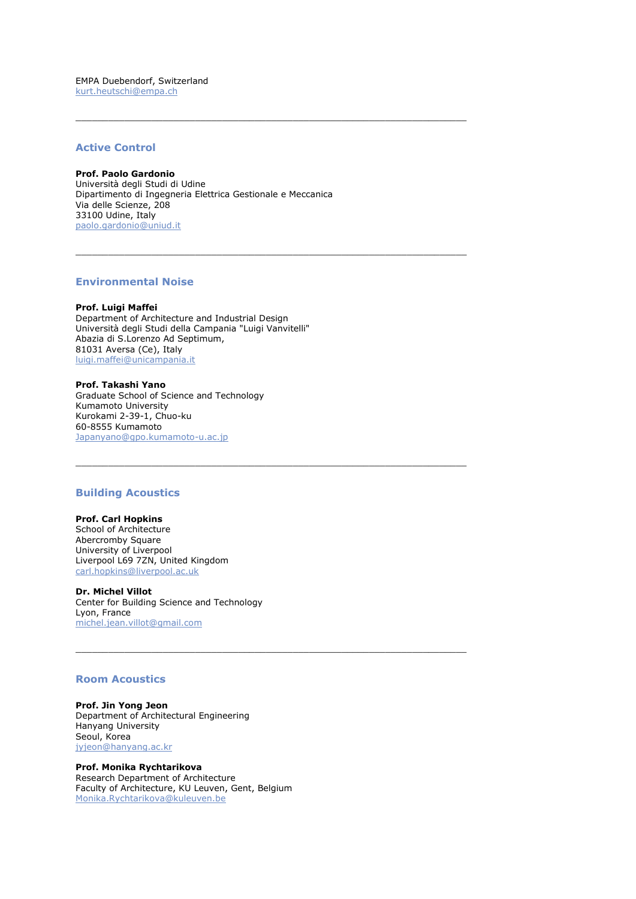EMPA Duebendorf, Switzerland [kurt.heutschi@empa.ch](javascript:linkTo_UnCryptMailto()

# **Active Control**

### **Prof. Paolo Gardonio**

Università degli Studi di Udine Dipartimento di Ingegneria Elettrica Gestionale e Meccanica Via delle Scienze, 208 33100 Udine, Italy [paolo.gardonio@uniud.it](javascript:linkTo_UnCryptMailto()

\_\_\_\_\_\_\_\_\_\_\_\_\_\_\_\_\_\_\_\_\_\_\_\_\_\_\_\_\_\_\_\_\_\_\_\_\_\_\_\_\_\_\_\_\_\_\_\_\_\_\_\_\_\_\_\_\_\_\_\_\_\_\_\_\_\_\_\_\_\_\_\_

\_\_\_\_\_\_\_\_\_\_\_\_\_\_\_\_\_\_\_\_\_\_\_\_\_\_\_\_\_\_\_\_\_\_\_\_\_\_\_\_\_\_\_\_\_\_\_\_\_\_\_\_\_\_\_\_\_\_\_\_\_\_\_\_\_\_\_\_\_\_\_\_

\_\_\_\_\_\_\_\_\_\_\_\_\_\_\_\_\_\_\_\_\_\_\_\_\_\_\_\_\_\_\_\_\_\_\_\_\_\_\_\_\_\_\_\_\_\_\_\_\_\_\_\_\_\_\_\_\_\_\_\_\_\_\_\_\_\_\_\_\_\_\_\_

\_\_\_\_\_\_\_\_\_\_\_\_\_\_\_\_\_\_\_\_\_\_\_\_\_\_\_\_\_\_\_\_\_\_\_\_\_\_\_\_\_\_\_\_\_\_\_\_\_\_\_\_\_\_\_\_\_\_\_\_\_\_\_\_\_\_\_\_\_\_\_\_

### **Environmental Noise**

**Prof. Luigi Maffei** Department of Architecture and Industrial Design Università degli Studi della Campania "Luigi Vanvitelli" Abazia di S.Lorenzo Ad Septimum, 81031 Aversa (Ce), Italy [luigi.maffei@unicampania.it](javascript:linkTo_UnCryptMailto()

#### **Prof. Takashi Yano** Graduate School of Science and Technology Kumamoto University Kurokami 2-39-1, Chuo-ku

60-8555 Kumamoto [Japanyano@gpo.kumamoto-u.ac.jp](javascript:linkTo_UnCryptMailto()

### **Building Acoustics**

# **Prof. Carl Hopkins**

School of Architecture Abercromby Square University of Liverpool Liverpool L69 7ZN, United Kingdom [carl.hopkins@liverpool.ac.uk](javascript:linkTo_UnCryptMailto()

**Dr. Michel Villot** Center for Building Science and Technology Lyon, France [michel.jean.villot@gmail.com](javascript:linkTo_UnCryptMailto()

### **Room Acoustics**

**Prof. Jin Yong Jeon** Department of Architectural Engineering Hanyang University Seoul, Korea [jyjeon@hanyang.ac.kr](javascript:linkTo_UnCryptMailto()

**Prof. Monika Rychtarikova** Research Department of Architecture Faculty of Architecture, KU Leuven, Gent, Belgium [Monika.Rychtarikova@kuleuven.be](javascript:linkTo_UnCryptMailto()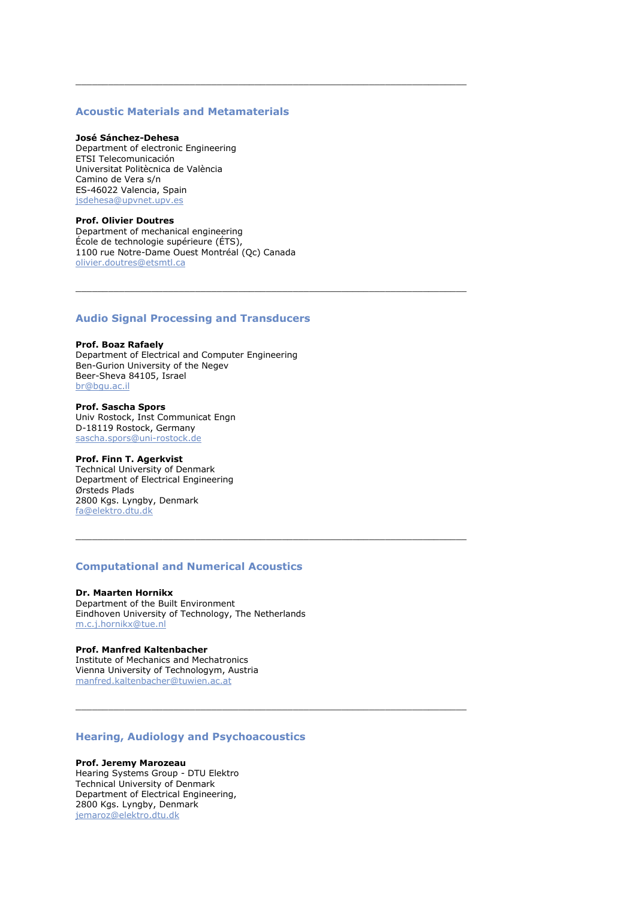# **Acoustic Materials and Metamaterials**

 $\_$  ,  $\_$  ,  $\_$  ,  $\_$  ,  $\_$  ,  $\_$  ,  $\_$  ,  $\_$  ,  $\_$  ,  $\_$  ,  $\_$  ,  $\_$  ,  $\_$  ,  $\_$  ,  $\_$  ,  $\_$  ,  $\_$  ,  $\_$  ,  $\_$  ,  $\_$  ,  $\_$  ,  $\_$  ,  $\_$  ,  $\_$  ,  $\_$  ,  $\_$  ,  $\_$  ,  $\_$  ,  $\_$  ,  $\_$  ,  $\_$  ,  $\_$  ,  $\_$  ,  $\_$  ,  $\_$  ,  $\_$  ,  $\_$  ,

#### **José Sánchez-Dehesa**

Department of electronic Engineering ETSI Telecomunicación Universitat Politècnica de València Camino de Vera s/n ES-46022 Valencia, Spain [jsdehesa@upvnet.upv.es](javascript:linkTo_UnCryptMailto()

#### **Prof. Olivier Doutres**

Department of mechanical engineering École de technologie supérieure (ÉTS), 1100 rue Notre-Dame Ouest Montréal (Qc) Canada [olivier.doutres@etsmtl.ca](javascript:linkTo_UnCryptMailto()

### **Audio Signal Processing and Transducers**

### **Prof. Boaz Rafaely** Department of Electrical and Computer Engineering Ben-Gurion University of the Negev Beer-Sheva 84105, Israel [br@bgu.ac.il](javascript:linkTo_UnCryptMailto()

**Prof. Sascha Spors** Univ Rostock, Inst Communicat Engn D-18119 Rostock, Germany [sascha.spors@uni-rostock.de](javascript:linkTo_UnCryptMailto()

### **Prof. Finn T. Agerkvist**

Technical University of Denmark Department of Electrical Engineering Ørsteds Plads 2800 Kgs. Lyngby, Denmark [fa@elektro.dtu.dk](javascript:linkTo_UnCryptMailto()

# **Computational and Numerical Acoustics**

\_\_\_\_\_\_\_\_\_\_\_\_\_\_\_\_\_\_\_\_\_\_\_\_\_\_\_\_\_\_\_\_\_\_\_\_\_\_\_\_\_\_\_\_\_\_\_\_\_\_\_\_\_\_\_\_\_\_\_\_\_\_\_\_\_\_\_\_\_\_\_\_

\_\_\_\_\_\_\_\_\_\_\_\_\_\_\_\_\_\_\_\_\_\_\_\_\_\_\_\_\_\_\_\_\_\_\_\_\_\_\_\_\_\_\_\_\_\_\_\_\_\_\_\_\_\_\_\_\_\_\_\_\_\_\_\_\_\_\_\_\_\_\_\_

### **Dr. Maarten Hornikx**

Department of the Built Environment Eindhoven University of Technology, The Netherlands [m.c.j.hornikx@tue.nl](javascript:linkTo_UnCryptMailto()

#### **Prof. Manfred Kaltenbacher**

Institute of Mechanics and Mechatronics Vienna University of Technologym, Austria [manfred.kaltenbacher@tuwien.ac.at](javascript:linkTo_UnCryptMailto()

# **Hearing, Audiology and Psychoacoustics**

### **Prof. Jeremy Marozeau**

Hearing Systems Group - DTU Elektro Technical University of Denmark Department of Electrical Engineering, 2800 Kgs. Lyngby, Denmar[k](javascript:linkTo_UnCryptMailto() [jemaroz@elektro.dtu.dk](javascript:linkTo_UnCryptMailto()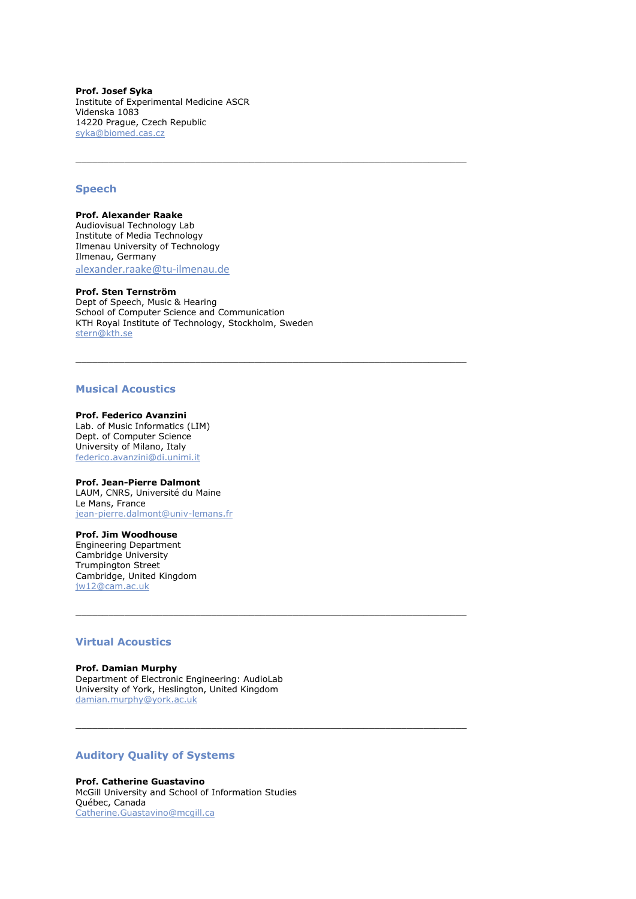**Prof. Josef Syka** Institute of Experimental Medicine ASCR Videnska 1083 14220 Prague, Czech Republi[c](javascript:linkTo_UnCryptMailto() [syka@biomed.cas.cz](javascript:linkTo_UnCryptMailto()

### **Speech**

**Prof. Alexander Raake** Audiovisual Technology Lab Institute of Media Technology Ilmenau University of Technology Ilmenau, Germany a[lexander.raake@tu-ilmenau.de](javascript:linkTo_UnCryptMailto()

### **Prof. Sten Ternström**

Dept of Speech, Music & Hearing School of Computer Science and Communication KTH Royal Institute of Technology, Stockholm, Swede[n](javascript:linkTo_UnCryptMailto() [stern@kth.se](javascript:linkTo_UnCryptMailto()

 $\_$  ,  $\_$  ,  $\_$  ,  $\_$  ,  $\_$  ,  $\_$  ,  $\_$  ,  $\_$  ,  $\_$  ,  $\_$  ,  $\_$  ,  $\_$  ,  $\_$  ,  $\_$  ,  $\_$  ,  $\_$  ,  $\_$  ,  $\_$  ,  $\_$  ,  $\_$  ,  $\_$  ,  $\_$  ,  $\_$  ,  $\_$  ,  $\_$  ,  $\_$  ,  $\_$  ,  $\_$  ,  $\_$  ,  $\_$  ,  $\_$  ,  $\_$  ,  $\_$  ,  $\_$  ,  $\_$  ,  $\_$  ,  $\_$  ,

\_\_\_\_\_\_\_\_\_\_\_\_\_\_\_\_\_\_\_\_\_\_\_\_\_\_\_\_\_\_\_\_\_\_\_\_\_\_\_\_\_\_\_\_\_\_\_\_\_\_\_\_\_\_\_\_\_\_\_\_\_\_\_\_\_\_\_\_\_\_\_\_

\_\_\_\_\_\_\_\_\_\_\_\_\_\_\_\_\_\_\_\_\_\_\_\_\_\_\_\_\_\_\_\_\_\_\_\_\_\_\_\_\_\_\_\_\_\_\_\_\_\_\_\_\_\_\_\_\_\_\_\_\_\_\_\_\_\_\_\_\_\_\_\_

### **Musical Acoustics**

#### **Prof. Federico Avanzini**

Lab. of Music Informatics (LIM) Dept. of Computer Science University of Milano, Italy [federico.avanzini@di.unimi.it](javascript:linkTo_UnCryptMailto()

### **Prof. Jean-Pierre Dalmont**

LAUM, CNRS, Université du Maine Le Mans, France [jean-pierre.dalmont@univ-lemans.fr](javascript:linkTo_UnCryptMailto()

### **Prof. Jim Woodhouse**

Engineering Department Cambridge University Trumpington Street Cambridge, United Kingdom [jw12@cam.ac.uk](javascript:linkTo_UnCryptMailto()

### **Virtual Acoustics**

#### **Prof. Damian Murphy**

Department of Electronic Engineering: AudioLab University of York, Heslington, United Kingdo[m](javascript:linkTo_UnCryptMailto() [damian.murphy@york.ac.uk](javascript:linkTo_UnCryptMailto()

# **Auditory Quality of Systems**

**Prof. Catherine Guastavino** McGill University and School of Information Studies Québec, Canada [Catherine.Guastavino@mcgill.ca](javascript:linkTo_UnCryptMailto()